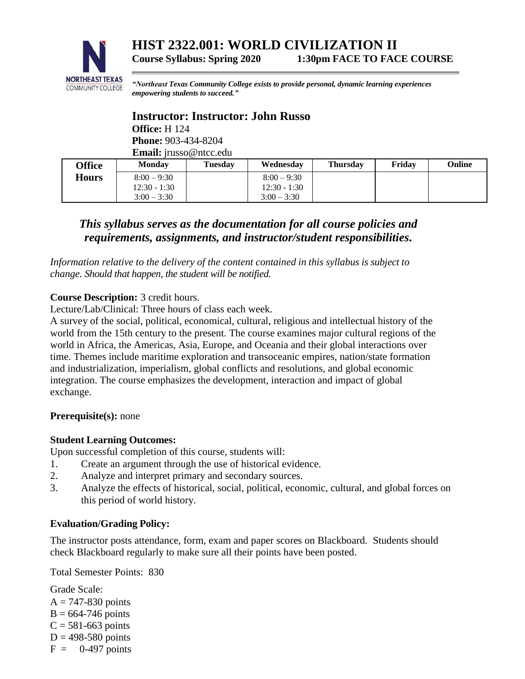

*"Northeast Texas Community College exists to provide personal, dynamic learning experiences empowering students to succeed."*

# **Instructor: Instructor: John Russo**

**Office:** H 124 **Phone:** 903-434-8204 **Email:** jrusso@ntcc.edu

| <b>Office</b> | <b>Monday</b>  | <b>Tuesday</b> | Wednesday      | <b>Thursday</b> | Friday | Online |
|---------------|----------------|----------------|----------------|-----------------|--------|--------|
| <b>Hours</b>  | $8:00 - 9:30$  |                | $8:00 - 9:30$  |                 |        |        |
|               | $12:30 - 1:30$ |                | $12:30 - 1:30$ |                 |        |        |
|               | $3:00 - 3:30$  |                | $3:00 - 3:30$  |                 |        |        |

# *This syllabus serves as the documentation for all course policies and requirements, assignments, and instructor/student responsibilities.*

*Information relative to the delivery of the content contained in this syllabus is subject to change. Should that happen, the student will be notified.*

# **Course Description:** 3 credit hours.

Lecture/Lab/Clinical: Three hours of class each week.

A survey of the social, political, economical, cultural, religious and intellectual history of the world from the 15th century to the present. The course examines major cultural regions of the world in Africa, the Americas, Asia, Europe, and Oceania and their global interactions over time. Themes include maritime exploration and transoceanic empires, nation/state formation and industrialization, imperialism, global conflicts and resolutions, and global economic integration. The course emphasizes the development, interaction and impact of global exchange.

# **Prerequisite(s):** none

# **Student Learning Outcomes:**

Upon successful completion of this course, students will:

- 1. Create an argument through the use of historical evidence.
- 2. Analyze and interpret primary and secondary sources.
- 3. Analyze the effects of historical, social, political, economic, cultural, and global forces on this period of world history.

# **Evaluation/Grading Policy:**

The instructor posts attendance, form, exam and paper scores on Blackboard. Students should check Blackboard regularly to make sure all their points have been posted.

Total Semester Points: 830

Grade Scale:  $A = 747-830$  points  $B = 664-746$  points  $C = 581-663$  points  $D = 498-580$  points  $F = 0-497$  points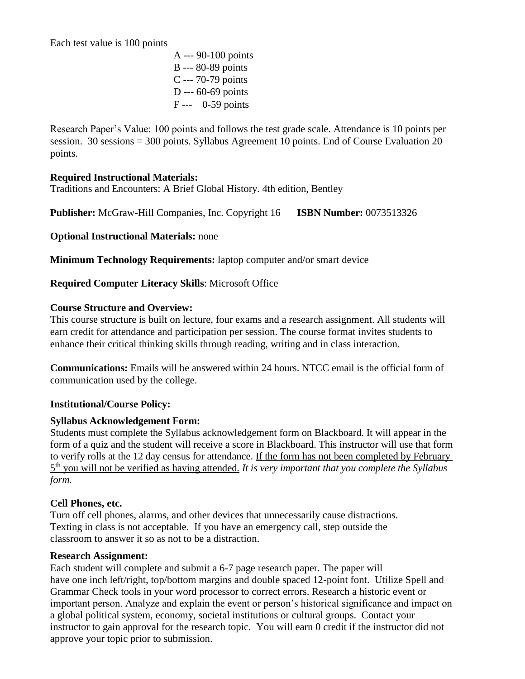Each test value is 100 points

A --- 90-100 points B --- 80-89 points C --- 70-79 points D --- 60-69 points F --- 0-59 points

Research Paper's Value: 100 points and follows the test grade scale. Attendance is 10 points per session. 30 sessions = 300 points. Syllabus Agreement 10 points. End of Course Evaluation 20 points.

## **Required Instructional Materials:**

Traditions and Encounters: A Brief Global History. 4th edition, Bentley

**Publisher:** McGraw-Hill Companies, Inc. Copyright 16 **ISBN Number:** 0073513326

**Optional Instructional Materials:** none

**Minimum Technology Requirements:** laptop computer and/or smart device

**Required Computer Literacy Skills**: Microsoft Office

#### **Course Structure and Overview:**

This course structure is built on lecture, four exams and a research assignment. All students will earn credit for attendance and participation per session. The course format invites students to enhance their critical thinking skills through reading, writing and in class interaction.

**Communications:** Emails will be answered within 24 hours. NTCC email is the official form of communication used by the college.

#### **Institutional/Course Policy:**

#### **Syllabus Acknowledgement Form:**

Students must complete the Syllabus acknowledgement form on Blackboard. It will appear in the form of a quiz and the student will receive a score in Blackboard. This instructor will use that form to verify rolls at the 12 day census for attendance. If the form has not been completed by February 5 th you will not be verified as having attended. *It is very important that you complete the Syllabus form.*

# **Cell Phones, etc.**

Turn off cell phones, alarms, and other devices that unnecessarily cause distractions. Texting in class is not acceptable. If you have an emergency call, step outside the classroom to answer it so as not to be a distraction.

#### **Research Assignment:**

Each student will complete and submit a 6-7 page research paper. The paper will have one inch left/right, top/bottom margins and double spaced 12-point font. Utilize Spell and Grammar Check tools in your word processor to correct errors. Research a historic event or important person. Analyze and explain the event or person's historical significance and impact on a global political system, economy, societal institutions or cultural groups. Contact your instructor to gain approval for the research topic. You will earn 0 credit if the instructor did not approve your topic prior to submission.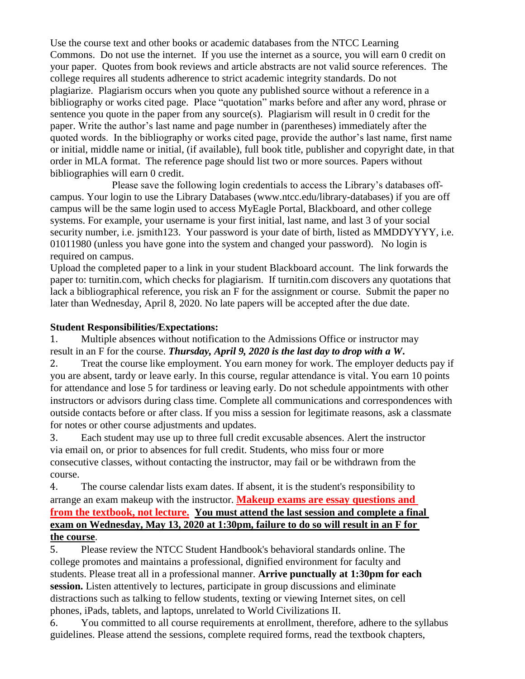Use the course text and other books or academic databases from the NTCC Learning Commons. Do not use the internet. If you use the internet as a source, you will earn 0 credit on your paper. Quotes from book reviews and article abstracts are not valid source references. The college requires all students adherence to strict academic integrity standards. Do not plagiarize. Plagiarism occurs when you quote any published source without a reference in a bibliography or works cited page. Place "quotation" marks before and after any word, phrase or sentence you quote in the paper from any source(s). Plagiarism will result in 0 credit for the paper. Write the author's last name and page number in (parentheses) immediately after the quoted words. In the bibliography or works cited page, provide the author's last name, first name or initial, middle name or initial, (if available), full book title, publisher and copyright date, in that order in MLA format. The reference page should list two or more sources. Papers without bibliographies will earn 0 credit.

Please save the following login credentials to access the Library's databases offcampus. Your login to use the Library Databases (www.ntcc.edu/library-databases) if you are off campus will be the same login used to access MyEagle Portal, Blackboard, and other college systems. For example, your username is your first initial, last name, and last 3 of your social security number, i.e. ismith123. Your password is your date of birth, listed as MMDDYYYY, i.e. 01011980 (unless you have gone into the system and changed your password). No login is required on campus.

Upload the completed paper to a link in your student Blackboard account. The link forwards the paper to: turnitin.com, which checks for plagiarism. If turnitin.com discovers any quotations that lack a bibliographical reference, you risk an F for the assignment or course. Submit the paper no later than Wednesday, April 8, 2020. No late papers will be accepted after the due date.

#### **Student Responsibilities/Expectations:**

1. Multiple absences without notification to the Admissions Office or instructor may result in an F for the course. *Thursday, April 9, 2020 is the last day to drop with a W***.**

2. Treat the course like employment. You earn money for work. The employer deducts pay if you are absent, tardy or leave early. In this course, regular attendance is vital. You earn 10 points for attendance and lose 5 for tardiness or leaving early. Do not schedule appointments with other instructors or advisors during class time. Complete all communications and correspondences with outside contacts before or after class. If you miss a session for legitimate reasons, ask a classmate for notes or other course adjustments and updates.

3. Each student may use up to three full credit excusable absences. Alert the instructor via email on, or prior to absences for full credit. Students, who miss four or more consecutive classes, without contacting the instructor, may fail or be withdrawn from the course.

4. The course calendar lists exam dates. If absent, it is the student's responsibility to arrange an exam makeup with the instructor. **Makeup exams are essay questions and from the textbook, not lecture. You must attend the last session and complete a final exam on Wednesday, May 13, 2020 at 1:30pm, failure to do so will result in an F for the course**.

5. Please review the NTCC Student Handbook's behavioral standards online. The college promotes and maintains a professional, dignified environment for faculty and students. Please treat all in a professional manner. **Arrive punctually at 1:30pm for each session.** Listen attentively to lectures, participate in group discussions and eliminate distractions such as talking to fellow students, texting or viewing Internet sites, on cell phones, iPads, tablets, and laptops, unrelated to World Civilizations II.

6. You committed to all course requirements at enrollment, therefore, adhere to the syllabus guidelines. Please attend the sessions, complete required forms, read the textbook chapters,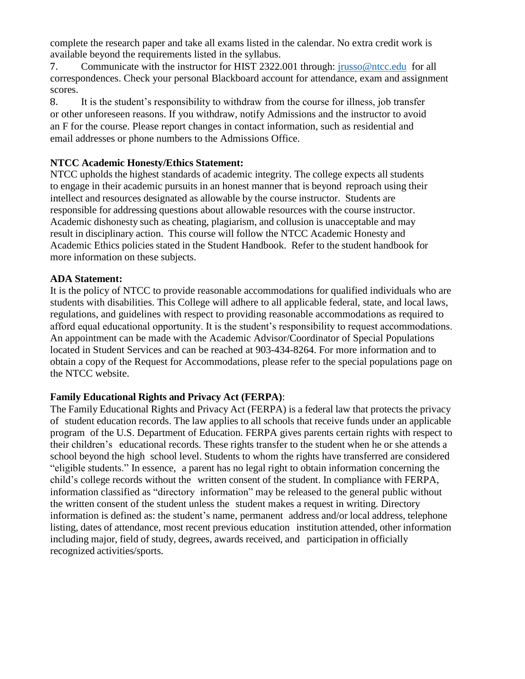complete the research paper and take all exams listed in the calendar. No extra credit work is available beyond the requirements listed in the syllabus.

7. Communicate with the instructor for HIST 2322.001 through: [jrusso@ntcc.edu](mailto:jrusso@ntcc.edu) for all correspondences. Check your personal Blackboard account for attendance, exam and assignment scores.

8. It is the student's responsibility to withdraw from the course for illness, job transfer or other unforeseen reasons. If you withdraw, notify Admissions and the instructor to avoid an F for the course. Please report changes in contact information, such as residential and email addresses or phone numbers to the Admissions Office.

## **NTCC Academic Honesty/Ethics Statement:**

NTCC upholds the highest standards of academic integrity. The college expects all students to engage in their academic pursuits in an honest manner that is beyond reproach using their intellect and resources designated as allowable by the course instructor. Students are responsible for addressing questions about allowable resources with the course instructor. Academic dishonesty such as cheating, plagiarism, and collusion is unacceptable and may result in disciplinary action. This course will follow the NTCC Academic Honesty and Academic Ethics policies stated in the Student Handbook. Refer to the student handbook for more information on these subjects.

#### **ADA Statement:**

It is the policy of NTCC to provide reasonable accommodations for qualified individuals who are students with disabilities. This College will adhere to all applicable federal, state, and local laws, regulations, and guidelines with respect to providing reasonable accommodations as required to afford equal educational opportunity. It is the student's responsibility to request accommodations. An appointment can be made with the Academic Advisor/Coordinator of Special Populations located in Student Services and can be reached at 903-434-8264. For more information and to obtain a copy of the Request for Accommodations, please refer to the special populations page on the NTCC websit[e.](http://www.ntcc.edu/index.php?module=Pagesetter&func=viewpub&tid=111&pid=1) 

#### **Family Educational Rights and Privacy Act (FERPA)**:

The Family Educational Rights and Privacy Act (FERPA) is a federal law that protects the privacy of student education records. The law applies to all schools that receive funds under an applicable program of the U.S. Department of Education. FERPA gives parents certain rights with respect to their children's educational records. These rights transfer to the student when he or she attends a school beyond the high school level. Students to whom the rights have transferred are considered "eligible students." In essence, a parent has no legal right to obtain information concerning the child's college records without the written consent of the student. In compliance with FERPA, information classified as "directory information" may be released to the general public without the written consent of the student unless the student makes a request in writing. Directory information is defined as: the student's name, permanent address and/or local address, telephone listing, dates of attendance, most recent previous education institution attended, other information including major, field of study, degrees, awards received, and participation in officially recognized activities/sports.